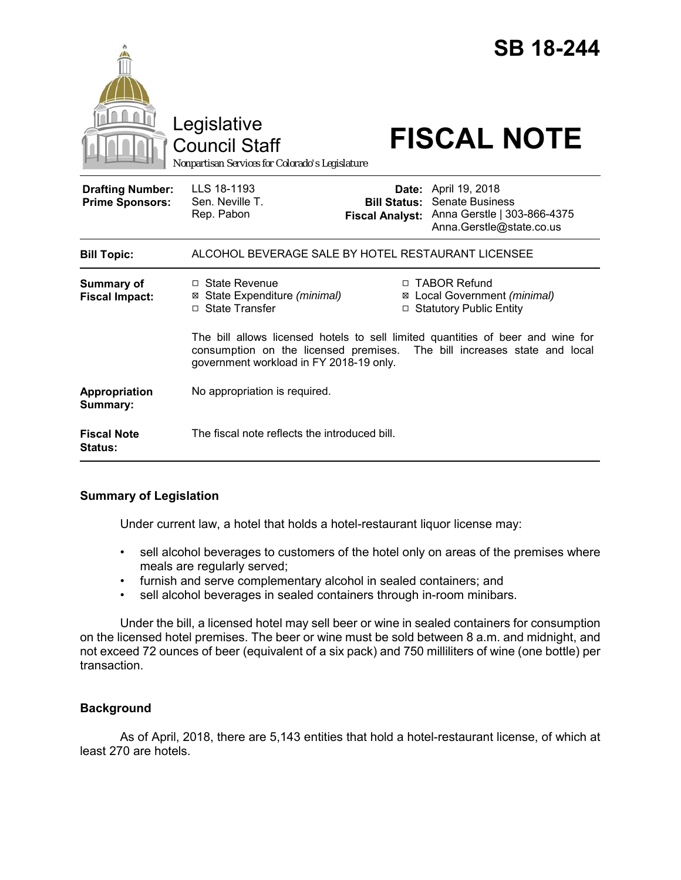|                                                   | Legislative<br><b>Council Staff</b><br>Nonpartisan Services for Colorado's Legislature                                                                                                                    |                     | <b>SB 18-244</b><br><b>FISCAL NOTE</b>                                                                                           |
|---------------------------------------------------|-----------------------------------------------------------------------------------------------------------------------------------------------------------------------------------------------------------|---------------------|----------------------------------------------------------------------------------------------------------------------------------|
| <b>Drafting Number:</b><br><b>Prime Sponsors:</b> | LLS 18-1193<br>Sen. Neville T.<br>Rep. Pabon                                                                                                                                                              | <b>Bill Status:</b> | <b>Date:</b> April 19, 2018<br><b>Senate Business</b><br>Fiscal Analyst: Anna Gerstle   303-866-4375<br>Anna.Gerstle@state.co.us |
| <b>Bill Topic:</b>                                | ALCOHOL BEVERAGE SALE BY HOTEL RESTAURANT LICENSEE                                                                                                                                                        |                     |                                                                                                                                  |
| <b>Summary of</b><br><b>Fiscal Impact:</b>        | $\Box$ State Revenue<br>State Expenditure (minimal)<br>⊠<br>□ State Transfer                                                                                                                              |                     | □ TABOR Refund<br>⊠ Local Government (minimal)<br>□ Statutory Public Entity                                                      |
|                                                   | The bill allows licensed hotels to sell limited quantities of beer and wine for<br>consumption on the licensed premises.<br>The bill increases state and local<br>government workload in FY 2018-19 only. |                     |                                                                                                                                  |
| Appropriation<br>Summary:                         | No appropriation is required.                                                                                                                                                                             |                     |                                                                                                                                  |
| <b>Fiscal Note</b><br><b>Status:</b>              | The fiscal note reflects the introduced bill.                                                                                                                                                             |                     |                                                                                                                                  |

# **Summary of Legislation**

Under current law, a hotel that holds a hotel-restaurant liquor license may:

- sell alcohol beverages to customers of the hotel only on areas of the premises where meals are regularly served;
- furnish and serve complementary alcohol in sealed containers; and
- sell alcohol beverages in sealed containers through in-room minibars.

Under the bill, a licensed hotel may sell beer or wine in sealed containers for consumption on the licensed hotel premises. The beer or wine must be sold between 8 a.m. and midnight, and not exceed 72 ounces of beer (equivalent of a six pack) and 750 milliliters of wine (one bottle) per transaction.

## **Background**

As of April, 2018, there are 5,143 entities that hold a hotel-restaurant license, of which at least 270 are hotels.